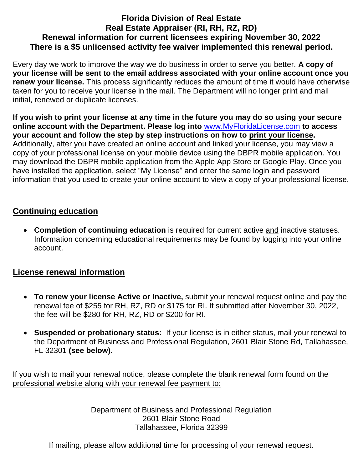## **Florida Division of Real Estate Real Estate Appraiser (RI, RH, RZ, RD) Renewal information for current licensees expiring November 30, 2022 There is a \$5 unlicensed activity fee waiver implemented this renewal period.**

Every day we work to improve the way we do business in order to serve you better. **A copy of your license will be sent to the email address associated with your online account once you renew your license.** This process significantly reduces the amount of time it would have otherwise taken for you to receive your license in the mail. The Department will no longer print and mail initial, renewed or duplicate licenses.

**If you wish to print your license at any time in the future you may do so using your secure online account with the Department. Please log into** [www.MyFloridaLicense.com](http://www.myfloridalicense.com/) **to access your account and follow the step by step instructions on how to print your license.**  Additionally, after you have created an online account and linked your license, you may view a copy of your professional license on your mobile device using the DBPR mobile application. You may download the DBPR mobile application from the Apple App Store or Google Play. Once you have installed the application, select "My License" and enter the same login and password information that you used to create your online account to view a copy of your professional license.

## **Continuing education**

 **Completion of continuing education** is required for current active and inactive statuses. Information concerning educational requirements may be found by logging into your online account.

## **License renewal information**

- **To renew your license Active or Inactive,** submit your renewal request online and pay the renewal fee of \$255 for RH, RZ, RD or \$175 for RI. If submitted after November 30, 2022, the fee will be \$280 for RH, RZ, RD or \$200 for RI.
- **Suspended or probationary status:** If your license is in either status, mail your renewal to the Department of Business and Professional Regulation, 2601 Blair Stone Rd, Tallahassee, FL 32301 **(see below).**

If you wish to mail your renewal notice, please complete the blank renewal form found on the professional website along with your renewal fee payment to:

> Department of Business and Professional Regulation 2601 Blair Stone Road Tallahassee, Florida 32399

If mailing, please allow additional time for processing of your renewal request.